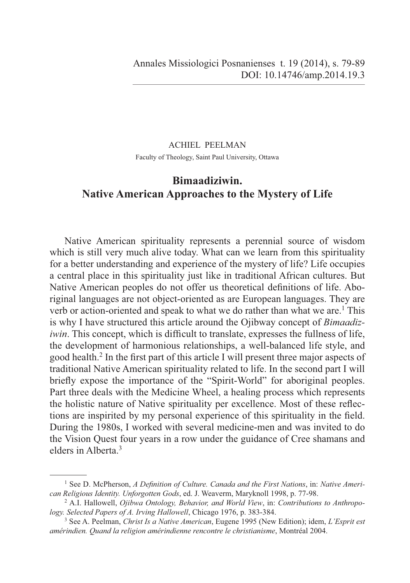## ACHIEL PEELMAN Faculty of Theology, Saint Paul University, Ottawa

# **Bimaadiziwin. Native American Approaches to the Mystery of Life**

Native American spirituality represents a perennial source of wisdom which is still very much alive today. What can we learn from this spirituality for a better understanding and experience of the mystery of life? Life occupies a central place in this spirituality just like in traditional African cultures. But Native American peoples do not offer us theoretical definitions of life. Aboriginal languages are not object-oriented as are European languages. They are verb or action-oriented and speak to what we do rather than what we are.<sup>1</sup> This is why I have structured this article around the Ojibway concept of *Bimaadiziwin*. This concept, which is difficult to translate, expresses the fullness of life, the development of harmonious relationships, a well-balanced life style, and good health.<sup>2</sup> In the first part of this article I will present three major aspects of traditional Native American spirituality related to life. In the second part I will briefly expose the importance of the "Spirit-World" for aboriginal peoples. Part three deals with the Medicine Wheel, a healing process which represents the holistic nature of Native spirituality per excellence. Most of these reflections are inspirited by my personal experience of this spirituality in the field. During the 1980s, I worked with several medicine-men and was invited to do the Vision Quest four years in a row under the guidance of Cree shamans and elders in Alberta.3

<sup>&</sup>lt;sup>1</sup> See D. McPherson, *A Definition of Culture. Canada and the First Nations*, in: Native Ameri*can Religious Identity. Unforgotten Gods*, ed. J. Weaverm, Maryknoll 1998, p. 77-98.

<sup>2</sup> A.I. Hallowell, *Ojibwa Ontology, Behavior, and World View*, in: *Contributions to Anthropology. Selected Papers of A. Irving Hallowell*, Chicago 1976, p. 383-384.

<sup>3</sup> See A. Peelman, *Christ Is a Native American*, Eugene 1995 (New Edition); idem, *L'Esprit est amérindien. Quand la religion amérindienne rencontre le christianisme*, Montréal 2004.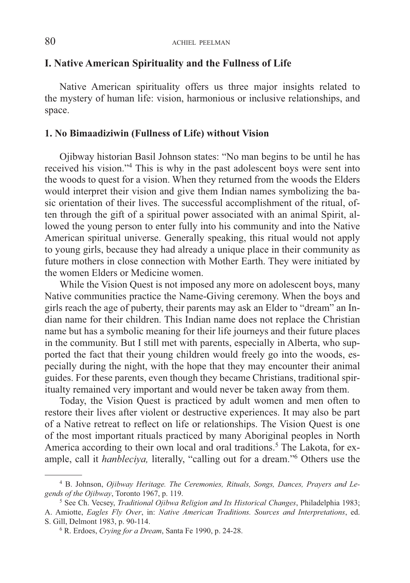## **I. Native American Spirituality and the Fullness of Life**

Native American spirituality offers us three major insights related to the mystery of human life: vision, harmonious or inclusive relationships, and space.

#### **1. No Bimaadiziwin (Fullness of Life) without Vision**

Ojibway historian Basil Johnson states: "No man begins to be until he has received his vision."4 This is why in the past adolescent boys were sent into the woods to quest for a vision. When they returned from the woods the Elders would interpret their vision and give them Indian names symbolizing the basic orientation of their lives. The successful accomplishment of the ritual, often through the gift of a spiritual power associated with an animal Spirit, allowed the young person to enter fully into his community and into the Native American spiritual universe. Generally speaking, this ritual would not apply to young girls, because they had already a unique place in their community as future mothers in close connection with Mother Earth. They were initiated by the women Elders or Medicine women.

While the Vision Quest is not imposed any more on adolescent boys, many Native communities practice the Name-Giving ceremony. When the boys and girls reach the age of puberty, their parents may ask an Elder to "dream" an Indian name for their children. This Indian name does not replace the Christian name but has a symbolic meaning for their life journeys and their future places in the community. But I still met with parents, especially in Alberta, who supported the fact that their young children would freely go into the woods, especially during the night, with the hope that they may encounter their animal guides. For these parents, even though they became Christians, traditional spiritualty remained very important and would never be taken away from them.

Today, the Vision Quest is practiced by adult women and men often to restore their lives after violent or destructive experiences. It may also be part of a Native retreat to reflect on life or relationships. The Vision Quest is one of the most important rituals practiced by many Aboriginal peoples in North America according to their own local and oral traditions.<sup>5</sup> The Lakota, for example, call it *hanbleciya,* literally, "calling out for a dream."6 Others use the

<sup>4</sup> B. Johnson, *Ojibway Heritage. The Ceremonies, Rituals, Songs, Dances, Prayers and Legends of the Ojibway*, Toronto 1967, p. 119.

<sup>5</sup> See Ch. Vecsey, *Traditional Ojibwa Religion and Its Historical Changes*, Philadelphia 1983; A. Amiotte, *Eagles Fly Over*, in: *Native American Traditions. Sources and Interpretations*, ed. S. Gill, Delmont 1983, p. 90-114. 6

R. Erdoes, *Crying for a Dream*, Santa Fe 1990, p. 24-28.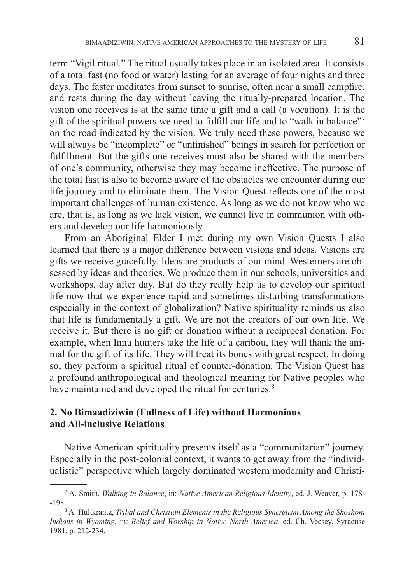term "Vigil ritual." The ritual usually takes place in an isolated area. It consists of a total fast (no food or water) lasting for an average of four nights and three days. The faster meditates from sunset to sunrise, often near a small campfire, and rests during the day without leaving the ritually-prepared location. The vision one receives is at the same time a gift and a call (a vocation). It is the gift of the spiritual powers we need to fulfill our life and to "walk in balance" on the road indicated by the vision. We truly need these powers, because we will always be "incomplete" or "unfinished" beings in search for perfection or fulfillment. But the gifts one receives must also be shared with the members of one's community, otherwise they may become ineffective. The purpose of the total fast is also to become aware of the obstacles we encounter during our life journey and to eliminate them. The Vision Quest reflects one of the most important challenges of human existence. As long as we do not know who we are, that is, as long as we lack vision, we cannot live in communion with others and develop our life harmoniously.

From an Aboriginal Elder I met during my own Vision Quests I also learned that there is a major difference between visions and ideas. Visions are gifts we receive gracefully. Ideas are products of our mind. Westerners are obsessed by ideas and theories. We produce them in our schools, universities and workshops, day after day. But do they really help us to develop our spiritual life now that we experience rapid and sometimes disturbing transformations especially in the context of globalization? Native spirituality reminds us also that life is fundamentally a gift. We are not the creators of our own life. We receive it. But there is no gift or donation without a reciprocal donation. For example, when Innu hunters take the life of a caribou, they will thank the animal for the gift of its life. They will treat its bones with great respect. In doing so, they perform a spiritual ritual of counter-donation. The Vision Quest has a profound anthropological and theological meaning for Native peoples who have maintained and developed the ritual for centuries.<sup>8</sup>

## **2. No Bimaadiziwin (Fullness of Life) without Harmonious and All-inclusive Relations**

Native American spirituality presents itself as a "communitarian" journey. Especially in the post-colonial context, it wants to get away from the "individualistic" perspective which largely dominated western modernity and Christi-

<sup>7</sup> A. Smith, *Walking in Balance*, in: *Native American Religious Identity*, ed. J. Weaver, p. 178-  $-198.$ 

A. Hultkrantz, *Tribal and Christian Elements in the Religious Syncretism Among the Shoshoni Indians in Wyoming*, in: *Belief and Worship in Native North America*, ed. Ch. Vecsey, Syracuse 1981, p. 212-234.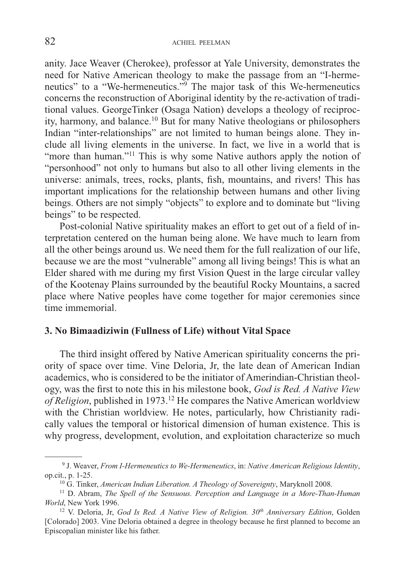anity. Jace Weaver (Cherokee), professor at Yale University, demonstrates the need for Native American theology to make the passage from an "I-hermeneutics" to a "We-hermeneutics."9 The major task of this We-hermeneutics concerns the reconstruction of Aboriginal identity by the re-activation of traditional values. GeorgeTinker (Osaga Nation) develops a theology of reciprocity, harmony, and balance.10 But for many Native theologians or philosophers Indian "inter-relationships" are not limited to human beings alone. They include all living elements in the universe. In fact, we live in a world that is "more than human."<sup>11</sup> This is why some Native authors apply the notion of "personhood" not only to humans but also to all other living elements in the universe: animals, trees, rocks, plants, fish, mountains, and rivers! This has important implications for the relationship between humans and other living beings. Others are not simply "objects" to explore and to dominate but "living beings" to be respected.

Post-colonial Native spirituality makes an effort to get out of a field of interpretation centered on the human being alone. We have much to learn from all the other beings around us. We need them for the full realization of our life, because we are the most "vulnerable" among all living beings! This is what an Elder shared with me during my first Vision Quest in the large circular valley of the Kootenay Plains surrounded by the beautiful Rocky Mountains, a sacred place where Native peoples have come together for major ceremonies since time immemorial.

#### **3. No Bimaadiziwin (Fullness of Life) without Vital Space**

The third insight offered by Native American spirituality concerns the priority of space over time. Vine Deloria, Jr, the late dean of American Indian academics, who is considered to be the initiator of Amerindian-Christian theology, was the first to note this in his milestone book, *God is Red. A Native View of Religion*, published in 1973.12 He compares the Native American worldview with the Christian worldview. He notes, particularly, how Christianity radically values the temporal or historical dimension of human existence. This is why progress, development, evolution, and exploitation characterize so much

 <sup>9</sup> J. Weaver, *From I-Hermeneutics to We-Hermeneutics*, in: *Native American Religious Identity*, op.cit., p. 1-25.

<sup>10</sup> G. Tinker, *American Indian Liberation. A Theology of Sovereignty*, Maryknoll 2008.

<sup>11</sup> D. Abram, *The Spell of the Sensuous. Perception and Language in a More-Than-Human World*, New York 1996.

<sup>&</sup>lt;sup>12</sup> V. Deloria, Jr, *God Is Red. A Native View of Religion.* 30<sup>th</sup> Anniversary Edition, Golden [Colorado] 2003. Vine Deloria obtained a degree in theology because he first planned to become an Episcopalian minister like his father.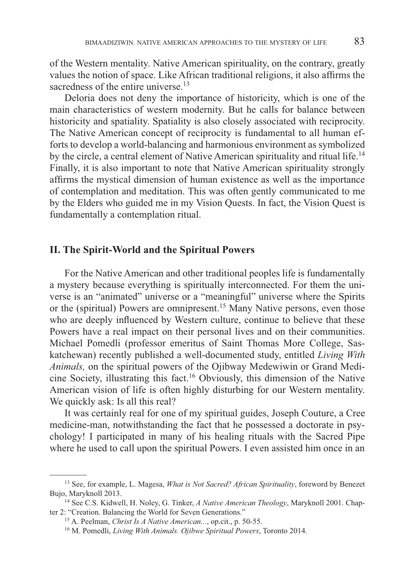of the Western mentality. Native American spirituality, on the contrary, greatly values the notion of space. Like African traditional religions, it also affirms the sacredness of the entire universe.<sup>13</sup>

Deloria does not deny the importance of historicity, which is one of the main characteristics of western modernity. But he calls for balance between historicity and spatiality. Spatiality is also closely associated with reciprocity. The Native American concept of reciprocity is fundamental to all human efforts to develop a world-balancing and harmonious environment as symbolized by the circle, a central element of Native American spirituality and ritual life.<sup>14</sup> Finally, it is also important to note that Native American spirituality strongly affirms the mystical dimension of human existence as well as the importance of contemplation and meditation. This was often gently communicated to me by the Elders who guided me in my Vision Quests. In fact, the Vision Quest is fundamentally a contemplation ritual.

#### **II. The Spirit-World and the Spiritual Powers**

For the Native American and other traditional peoples life is fundamentally a mystery because everything is spiritually interconnected. For them the universe is an "animated" universe or a "meaningful" universe where the Spirits or the (spiritual) Powers are omnipresent.<sup>15</sup> Many Native persons, even those who are deeply influenced by Western culture, continue to believe that these Powers have a real impact on their personal lives and on their communities. Michael Pomedli (professor emeritus of Saint Thomas More College, Saskatchewan) recently published a well-documented study, entitled *Living With Animals,* on the spiritual powers of the Ojibway Medewiwin or Grand Medicine Society, illustrating this fact.16 Obviously, this dimension of the Native American vision of life is often highly disturbing for our Western mentality. We quickly ask: Is all this real?

It was certainly real for one of my spiritual guides, Joseph Couture, a Cree medicine-man, notwithstanding the fact that he possessed a doctorate in psychology! I participated in many of his healing rituals with the Sacred Pipe where he used to call upon the spiritual Powers. I even assisted him once in an

<sup>13</sup> See, for example, L. Magesa, *What is Not Sacred? African Spirituality*, foreword by Benezet Bujo, Maryknoll 2013.

<sup>14</sup> See C.S. Kidwell, H. Noley, G. Tinker, *A Native American Theology*, Maryknoll 2001. Chapter 2: "Creation. Balancing the World for Seven Generations."

<sup>15</sup> A. Peelman, *Christ Is A Native American...*, op.cit., p. 50-55.

<sup>16</sup> M. Pomedli, *Living With Animals. Ojibwe Spiritual Powers*, Toronto 2014.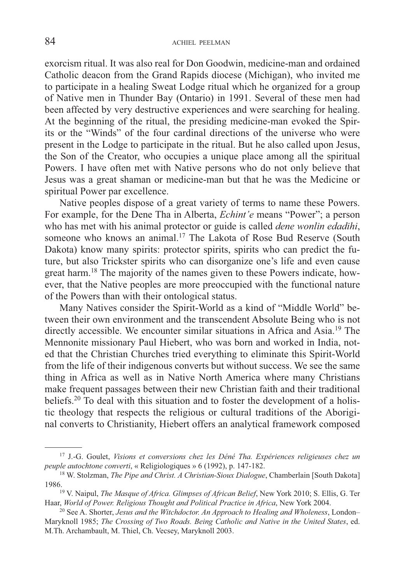exorcism ritual. It was also real for Don Goodwin, medicine-man and ordained Catholic deacon from the Grand Rapids diocese (Michigan), who invited me to participate in a healing Sweat Lodge ritual which he organized for a group of Native men in Thunder Bay (Ontario) in 1991. Several of these men had been affected by very destructive experiences and were searching for healing. At the beginning of the ritual, the presiding medicine-man evoked the Spirits or the "Winds" of the four cardinal directions of the universe who were present in the Lodge to participate in the ritual. But he also called upon Jesus, the Son of the Creator, who occupies a unique place among all the spiritual Powers. I have often met with Native persons who do not only believe that Jesus was a great shaman or medicine-man but that he was the Medicine or spiritual Power par excellence.

Native peoples dispose of a great variety of terms to name these Powers. For example, for the Dene Tha in Alberta, *Echint'e* means "Power"; a person who has met with his animal protector or guide is called *dene wonlin edadihi*, someone who knows an animal.<sup>17</sup> The Lakota of Rose Bud Reserve (South Dakota) know many spirits: protector spirits, spirits who can predict the future, but also Trickster spirits who can disorganize one's life and even cause great harm.18 The majority of the names given to these Powers indicate, however, that the Native peoples are more preoccupied with the functional nature of the Powers than with their ontological status.

Many Natives consider the Spirit-World as a kind of "Middle World" between their own environment and the transcendent Absolute Being who is not directly accessible. We encounter similar situations in Africa and Asia.<sup>19</sup> The Mennonite missionary Paul Hiebert, who was born and worked in India, noted that the Christian Churches tried everything to eliminate this Spirit-World from the life of their indigenous converts but without success. We see the same thing in Africa as well as in Native North America where many Christians make frequent passages between their new Christian faith and their traditional beliefs.20 To deal with this situation and to foster the development of a holistic theology that respects the religious or cultural traditions of the Aboriginal converts to Christianity, Hiebert offers an analytical framework composed

<sup>17</sup> J.-G. Goulet, *Visions et conversions chez les Déné Tha. Expériences religieuses chez un peuple autochtone converti*, « Religiologiques » 6 (1992), p. 147-182.

<sup>18</sup> W. Stolzman, *The Pipe and Christ. A Christian-Sioux Dialogue*, Chamberlain [South Dakota] 1986.19 V. Naipul, *The Masque of Africa. Glimpses of African Belief*, New York 2010; S. Ellis, G. Ter

Haar, *World of Power. Religious Thought and Political Practice in Africa*, New York 2004.

<sup>20</sup> See A. Shorter, *Jesus and the Witchdoctor. An Approach to Healing and Wholeness*, London– Maryknoll 1985; *The Crossing of Two Roads. Being Catholic and Native in the United States*, ed. M.Th. Archambault, M. Thiel, Ch. Vecsey, Maryknoll 2003.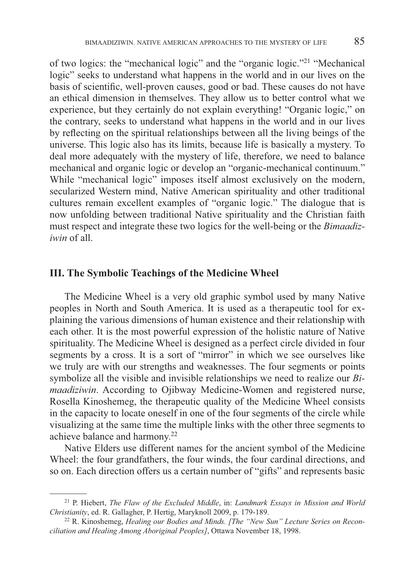of two logics: the "mechanical logic" and the "organic logic."21 "Mechanical logic" seeks to understand what happens in the world and in our lives on the basis of scientific, well-proven causes, good or bad. These causes do not have an ethical dimension in themselves. They allow us to better control what we experience, but they certainly do not explain everything! "Organic logic," on the contrary, seeks to understand what happens in the world and in our lives by refl ecting on the spiritual relationships between all the living beings of the universe. This logic also has its limits, because life is basically a mystery. To deal more adequately with the mystery of life, therefore, we need to balance mechanical and organic logic or develop an "organic-mechanical continuum." While "mechanical logic" imposes itself almost exclusively on the modern, secularized Western mind, Native American spirituality and other traditional cultures remain excellent examples of "organic logic." The dialogue that is now unfolding between traditional Native spirituality and the Christian faith must respect and integrate these two logics for the well-being or the *Bimaadiziwin* of all.

## **III. The Symbolic Teachings of the Medicine Wheel**

The Medicine Wheel is a very old graphic symbol used by many Native peoples in North and South America. It is used as a therapeutic tool for explaining the various dimensions of human existence and their relationship with each other. It is the most powerful expression of the holistic nature of Native spirituality. The Medicine Wheel is designed as a perfect circle divided in four segments by a cross. It is a sort of "mirror" in which we see ourselves like we truly are with our strengths and weaknesses. The four segments or points symbolize all the visible and invisible relationships we need to realize our *Bimaadiziwin*. According to Ojibway Medicine-Women and registered nurse, Rosella Kinoshemeg, the therapeutic quality of the Medicine Wheel consists in the capacity to locate oneself in one of the four segments of the circle while visualizing at the same time the multiple links with the other three segments to achieve balance and harmony.22

Native Elders use different names for the ancient symbol of the Medicine Wheel: the four grandfathers, the four winds, the four cardinal directions, and so on. Each direction offers us a certain number of "gifts" and represents basic

<sup>21</sup> P. Hiebert, *The Flaw of the Excluded Middle*, in: *Landmark Essays in Mission and World Christianity*, ed. R. Gallagher, P. Hertig, Maryknoll 2009, p. 179-189.

<sup>22</sup> R. Kinoshemeg, *Healing our Bodies and Minds. [The "New Sun" Lecture Series on Reconciliation and Healing Among Aboriginal Peoples]*, Ottawa November 18, 1998.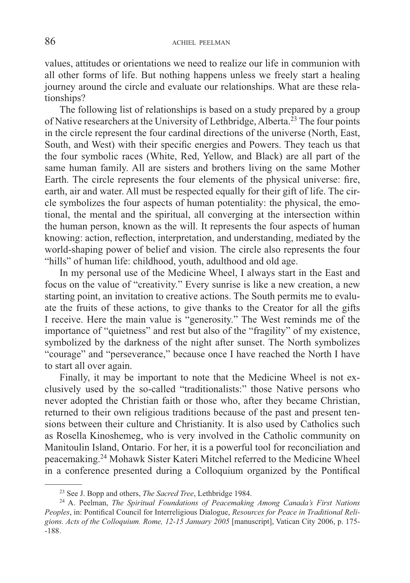values, attitudes or orientations we need to realize our life in communion with all other forms of life. But nothing happens unless we freely start a healing journey around the circle and evaluate our relationships. What are these relationships?

The following list of relationships is based on a study prepared by a group of Native researchers at the University of Lethbridge, Alberta.<sup>23</sup> The four points in the circle represent the four cardinal directions of the universe (North, East, South, and West) with their specific energies and Powers. They teach us that the four symbolic races (White, Red, Yellow, and Black) are all part of the same human family. All are sisters and brothers living on the same Mother Earth. The circle represents the four elements of the physical universe: fire, earth, air and water. All must be respected equally for their gift of life. The circle symbolizes the four aspects of human potentiality: the physical, the emotional, the mental and the spiritual, all converging at the intersection within the human person, known as the will. It represents the four aspects of human knowing: action, reflection, interpretation, and understanding, mediated by the world-shaping power of belief and vision. The circle also represents the four "hills" of human life: childhood, youth, adulthood and old age.

In my personal use of the Medicine Wheel, I always start in the East and focus on the value of "creativity." Every sunrise is like a new creation, a new starting point, an invitation to creative actions. The South permits me to evaluate the fruits of these actions, to give thanks to the Creator for all the gifts I receive. Here the main value is "generosity." The West reminds me of the importance of "quietness" and rest but also of the "fragility" of my existence, symbolized by the darkness of the night after sunset. The North symbolizes "courage" and "perseverance," because once I have reached the North I have to start all over again.

Finally, it may be important to note that the Medicine Wheel is not exclusively used by the so-called "traditionalists:" those Native persons who never adopted the Christian faith or those who, after they became Christian, returned to their own religious traditions because of the past and present tensions between their culture and Christianity. It is also used by Catholics such as Rosella Kinoshemeg, who is very involved in the Catholic community on Manitoulin Island, Ontario. For her, it is a powerful tool for reconciliation and peacemaking.24 Mohawk Sister Kateri Mitchel referred to the Medicine Wheel in a conference presented during a Colloquium organized by the Pontifical

<sup>23</sup> See J. Bopp and others, *The Sacred Tree*, Lethbridge 1984.

<sup>24</sup> A. Peelman, *The Spiritual Foundations of Peacemaking Among Canada's First Nations*  Peoples, in: Pontifical Council for Interreligious Dialogue, *Resources for Peace in Traditional Religions. Acts of the Colloquium. Rome, 12-15 January 2005* [manuscript], Vatican City 2006, p. 175- -188.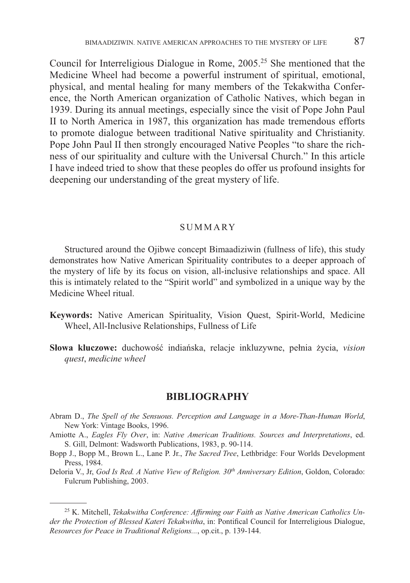Council for Interreligious Dialogue in Rome, 2005.25 She mentioned that the Medicine Wheel had become a powerful instrument of spiritual, emotional, physical, and mental healing for many members of the Tekakwitha Conference, the North American organization of Catholic Natives, which began in 1939. During its annual meetings, especially since the visit of Pope John Paul II to North America in 1987, this organization has made tremendous efforts to promote dialogue between traditional Native spirituality and Christianity. Pope John Paul II then strongly encouraged Native Peoples "to share the richness of our spirituality and culture with the Universal Church." In this article I have indeed tried to show that these peoples do offer us profound insights for deepening our understanding of the great mystery of life.

#### **SUMMARY**

Structured around the Ojibwe concept Bimaadiziwin (fullness of life), this study demonstrates how Native American Spirituality contributes to a deeper approach of the mystery of life by its focus on vision, all-inclusive relationships and space. All this is intimately related to the "Spirit world" and symbolized in a unique way by the Medicine Wheel ritual.

- **Keywords:** Native American Spirituality, Vision Quest, Spirit-World, Medicine Wheel, All-Inclusive Relationships, Fullness of Life
- **Słowa kluczowe:** duchowość indiańska, relacje inkluzywne, pełnia życia, *vision quest*, *medicine wheel*

#### **BIBLIOGRAPHY**

- Abram D., *The Spell of the Sensuous. Perception and Language in a More-Than-Human World*, New York: Vintage Books, 1996.
- Amiotte A., *Eagles Fly Over*, in: *Native American Traditions. Sources and Interpretations*, ed. S. Gill, Delmont: Wadsworth Publications, 1983, p. 90-114.
- Bopp J., Bopp M., Brown L., Lane P. Jr., *The Sacred Tree*, Lethbridge: Four Worlds Development Press, 1984.
- Deloria V., Jr, *God Is Red. A Native View of Religion. 30th Anniversary Edition*, Goldon, Colorado: Fulcrum Publishing, 2003.

<sup>&</sup>lt;sup>25</sup> K. Mitchell, *Tekakwitha Conference: Affirming our Faith as Native American Catholics Under the Protection of Blessed Kateri Tekakwitha*, in: Pontifical Council for Interreligious Dialogue, *Resources for Peace in Traditional Religions...*, op.cit., p. 139-144.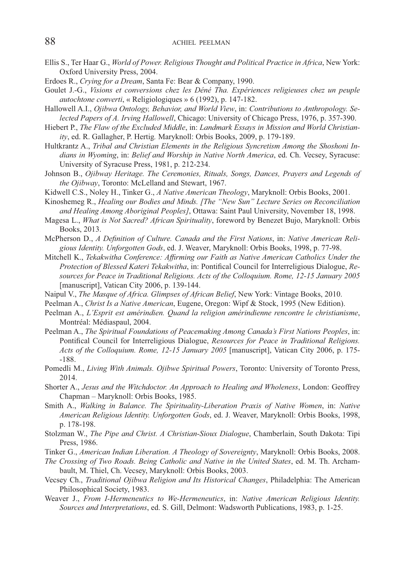- Ellis S., Ter Haar G., *World of Power. Religious Thought and Political Practice in Africa*, New York: Oxford University Press, 2004.
- Erdoes R., *Crying for a Dream*, Santa Fe: Bear & Company, 1990.
- Goulet J.-G., *Visions et conversions chez les Déné Tha. Expériences religieuses chez un peuple autochtone converti*, « Religiologiques » 6 (1992), p. 147-182.
- Hallowell A.I., *Ojibwa Ontology, Behavior, and World View*, in: *Contributions to Anthropology. Selected Papers of A. Irving Hallowell*, Chicago: University of Chicago Press, 1976, p. 357-390.
- Hiebert P., *The Flaw of the Excluded Middle*, in: *Landmark Essays in Mission and World Christianity*, ed. R. Gallagher, P. Hertig*.* Maryknoll: Orbis Books, 2009, p. 179-189.
- Hultkrantz A., *Tribal and Christian Elements in the Religious Syncretism Among the Shoshoni Indians in Wyoming*, in: *Belief and Worship in Native North America*, ed. Ch. Vecsey, Syracuse: University of Syracuse Press, 1981, p. 212-234.
- Johnson B., *Ojibway Heritage. The Ceremonies, Rituals, Songs, Dances, Prayers and Legends of the Ojibway*, Toronto: McLelland and Stewart, 1967.
- Kidwell C.S., Noley H., Tinker G., *A Native American Theology*, Maryknoll: Orbis Books, 2001.
- Kinoshemeg R., *Healing our Bodies and Minds. [The "New Sun" Lecture Series on Reconciliation and Healing Among Aboriginal Peoples]*, Ottawa: Saint Paul University, November 18, 1998.
- Magesa L., *What is Not Sacred? African Spirituality*, foreword by Benezet Bujo, Maryknoll: Orbis Books, 2013.
- McPherson D., *A Definition of Culture. Canada and the First Nations*, in: *Native American Religious Identity. Unforgotten Gods*, ed. J. Weaver, Maryknoll: Orbis Books, 1998, p. 77-98.
- Mitchell K., *Tekakwitha Conference: Affirming our Faith as Native American Catholics Under the Protection of Blessed Kateri Tekakwitha*, in: Pontifical Council for Interreligious Dialogue, Re*sources for Peace in Traditional Religions. Acts of the Colloquium. Rome, 12-15 January 2005*  [manuscript], Vatican City 2006, p. 139-144.
- Naipul V., *The Masque of Africa. Glimpses of African Belief*, New York: Vintage Books, 2010.
- Peelman A., *Christ Is a Native American*, Eugene, Oregon: Wipf & Stock, 1995 (New Edition).
- Peelman A., *L'Esprit est amérindien. Quand la religion amérindienne rencontre le christianisme*, Montréal: Médiaspaul, 2004.
- Peelman A., *The Spiritual Foundations of Peacemaking Among Canada's First Nations Peoples*, in: Pontifical Council for Interreligious Dialogue, *Resources for Peace in Traditional Religions*. *Acts of the Colloquium. Rome, 12-15 January 2005* [manuscript], Vatican City 2006, p. 175- -188.
- Pomedli M., *Living With Animals. Ojibwe Spiritual Powers*, Toronto: University of Toronto Press, 2014.
- Shorter A., *Jesus and the Witchdoctor. An Approach to Healing and Wholeness*, London: Geoffrey Chapman – Maryknoll: Orbis Books, 1985.
- Smith A., *Walking in Balance. The Spirituality-Liberation Praxis of Native Women*, in: *Native American Religious Identity. Unforgotten Gods*, ed. J. Weaver, Maryknoll: Orbis Books, 1998, p. 178-198.
- Stolzman W., *The Pipe and Christ. A Christian-Sioux Dialogue*, Chamberlain, South Dakota: Tipi Press, 1986.
- Tinker G., *American Indian Liberation. A Theology of Sovereignty*, Maryknoll: Orbis Books, 2008.
- *The Crossing of Two Roads. Being Catholic and Native in the United States*, ed. M. Th. Archambault, M. Thiel, Ch. Vecsey, Maryknoll: Orbis Books, 2003.
- Vecsey Ch., *Traditional Ojibwa Religion and Its Historical Changes*, Philadelphia: The American Philosophical Society, 1983.
- Weaver J., *From I-Hermeneutics to We-Hermeneutics*, in: *Native American Religious Identity. Sources and Interpretations*, ed. S. Gill, Delmont: Wadsworth Publications, 1983, p. 1-25.